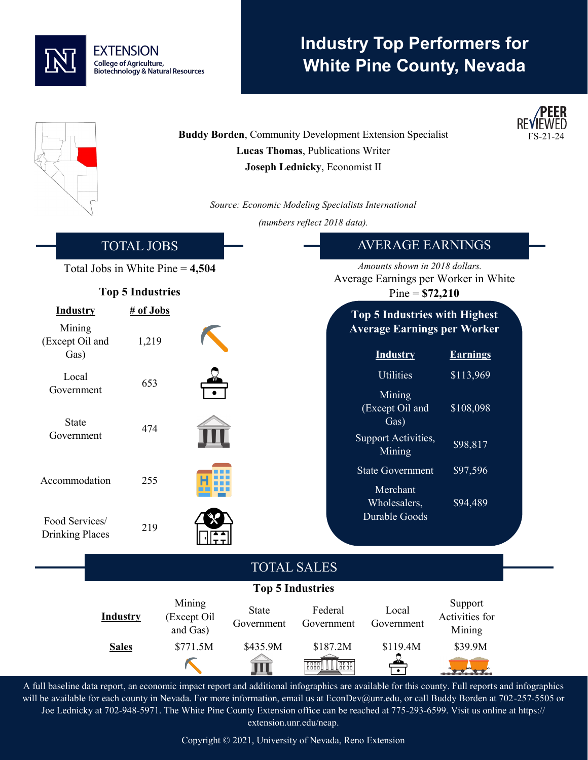

## **Industry Top Performers for White Pine County, Nevada**

**/PEER** 

|                                              |                    |                                   |                            | Lucas Thomas, Publications Writer<br>Joseph Lednicky, Economist II     | <b>Buddy Borden, Community Development Extension Specialist</b>            |                                     | FS-21-24 |  |
|----------------------------------------------|--------------------|-----------------------------------|----------------------------|------------------------------------------------------------------------|----------------------------------------------------------------------------|-------------------------------------|----------|--|
|                                              |                    |                                   |                            |                                                                        | Source: Economic Modeling Specialists International                        |                                     |          |  |
|                                              |                    |                                   |                            | (numbers reflect 2018 data).                                           |                                                                            |                                     |          |  |
| <b>TOTAL JOBS</b>                            |                    |                                   |                            |                                                                        | <b>AVERAGE EARNINGS</b>                                                    |                                     |          |  |
| Total Jobs in White Pine $= 4,504$           |                    |                                   |                            | Amounts shown in 2018 dollars.<br>Average Earnings per Worker in White |                                                                            |                                     |          |  |
| <b>Top 5 Industries</b>                      |                    |                                   |                            | $Pine = $72,210$                                                       |                                                                            |                                     |          |  |
| <b>Industry</b><br>Mining<br>(Except Oil and | # of Jobs<br>1,219 |                                   |                            |                                                                        | <b>Top 5 Industries with Highest</b><br><b>Average Earnings per Worker</b> |                                     |          |  |
| Gas)                                         |                    |                                   |                            |                                                                        | <b>Industry</b>                                                            | <b>Earnings</b>                     |          |  |
| Local<br>Government                          | 653                |                                   |                            |                                                                        | Utilities<br>Mining                                                        | \$113,969                           |          |  |
| <b>State</b><br>Government                   | 474                |                                   |                            |                                                                        | (Except Oil and<br>Gas)<br>Support Activities,                             | \$108,098                           |          |  |
|                                              |                    |                                   |                            |                                                                        | Mining<br><b>State Government</b>                                          | \$98,817<br>\$97,596                |          |  |
| Accommodation                                | 255                |                                   |                            |                                                                        | Merchant<br>Wholesalers,                                                   | \$94,489                            |          |  |
| Food Services/<br><b>Drinking Places</b>     | 219                |                                   |                            |                                                                        | Durable Goods                                                              |                                     |          |  |
|                                              |                    |                                   |                            | <b>TOTAL SALES</b>                                                     |                                                                            |                                     |          |  |
| <b>Top 5 Industries</b>                      |                    |                                   |                            |                                                                        |                                                                            |                                     |          |  |
|                                              | <b>Industry</b>    | Mining<br>(Except Oil<br>and Gas) | <b>State</b><br>Government | Federal<br>Government                                                  | Local<br>Government                                                        | Support<br>Activities for<br>Mining |          |  |
|                                              | <b>Sales</b>       | \$771.5M                          | \$435.9M<br>Щ              | \$187.2M                                                               | \$119.4M                                                                   | \$39.9M                             |          |  |

A full baseline data report, an economic impact report and additional infographics are available for this county. Full reports and infographics will be available for each county in Nevada. For more information, email us at EconDev@unr.edu, or call Buddy Borden at 702-257-5505 or Joe Lednicky at 702-948-5971. The White Pine County Extension office can be reached at 775-293-6599. Visit us online at https:// extension.unr.edu/neap.